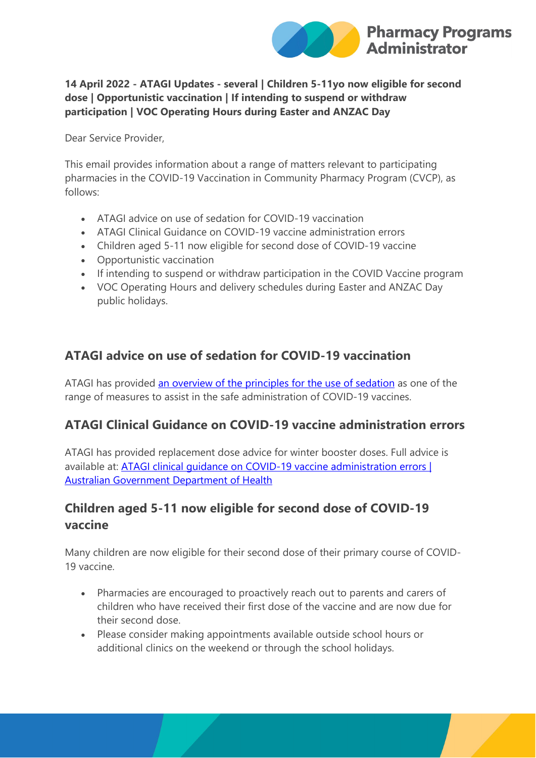

#### **14 April 2022 - ATAGI Updates - several | Children 5-11yo now eligible for second dose | Opportunistic vaccination | If intending to suspend or withdraw participation | VOC Operating Hours during Easter and ANZAC Day**

Dear Service Provider,

This email provides information about a range of matters relevant to participating pharmacies in the COVID-19 Vaccination in Community Pharmacy Program (CVCP), as follows:

- ATAGI advice on use of sedation for COVID-19 vaccination
- ATAGI Clinical Guidance on COVID-19 vaccine administration errors
- Children aged 5-11 now eligible for second dose of COVID-19 vaccine
- Opportunistic vaccination
- If intending to suspend or withdraw participation in the COVID Vaccine program
- VOC Operating Hours and delivery schedules during Easter and ANZAC Day public holidays.

#### **ATAGI advice on use of sedation for COVID-19 vaccination**

ATAGI has provided [an overview of the principles for the use of sedation](https://protect-au.mimecast.com/s/RCyWCmO5xyuRLW8FOXUXC?domain=health.gov.au) as one of the range of measures to assist in the safe administration of COVID-19 vaccines.

#### **ATAGI Clinical Guidance on COVID-19 vaccine administration errors**

ATAGI has provided replacement dose advice for winter booster doses. Full advice is available at: ATAGI clinical quidance on COVID-19 vaccine administration errors | [Australian Government Department of Health](https://protect-au.mimecast.com/s/K5IYCnx1yOH6pmghNKBs3?domain=health.gov.au)

## **Children aged 5-11 now eligible for second dose of COVID-19 vaccine**

Many children are now eligible for their second dose of their primary course of COVID-19 vaccine.

- Pharmacies are encouraged to proactively reach out to parents and carers of children who have received their first dose of the vaccine and are now due for their second dose.
- Please consider making appointments available outside school hours or additional clinics on the weekend or through the school holidays.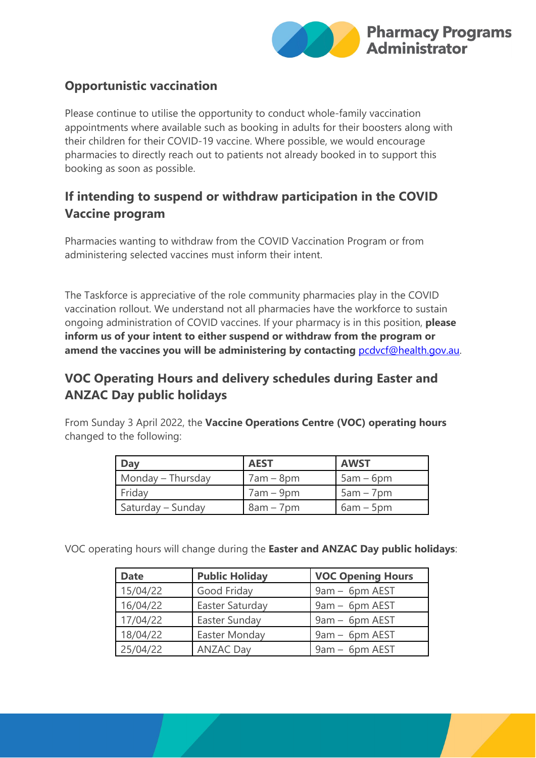

## **Opportunistic vaccination**

Please continue to utilise the opportunity to conduct whole-family vaccination appointments where available such as booking in adults for their boosters along with their children for their COVID-19 vaccine. Where possible, we would encourage pharmacies to directly reach out to patients not already booked in to support this booking as soon as possible.

# **If intending to suspend or withdraw participation in the COVID Vaccine program**

Pharmacies wanting to withdraw from the COVID Vaccination Program or from administering selected vaccines must inform their intent.

The Taskforce is appreciative of the role community pharmacies play in the COVID vaccination rollout. We understand not all pharmacies have the workforce to sustain ongoing administration of COVID vaccines. If your pharmacy is in this position, **please inform us of your intent to either suspend or withdraw from the program or amend the vaccines you will be administering by contacting** [pcdvcf@health.gov.au.](mailto:pcdvcf@health.gov.au)

# **VOC Operating Hours and delivery schedules during Easter and ANZAC Day public holidays**

From Sunday 3 April 2022, the **Vaccine Operations Centre (VOC) operating hours** changed to the following:

| Day               | <b>AEST</b> | <b>AWST</b> |
|-------------------|-------------|-------------|
| Monday – Thursday | $7am - 8pm$ | $5am - 6pm$ |
| Friday            | $7am - 9pm$ | $5am - 7pm$ |
| Saturday – Sunday | $8am - 7pm$ | $6am - 5pm$ |

VOC operating hours will change during the **Easter and ANZAC Day public holidays**:

| <b>Date</b>               | <b>Public Holiday</b> | <b>VOC Opening Hours</b> |
|---------------------------|-----------------------|--------------------------|
| 15/04/22                  | Good Friday           | 9am - 6pm AEST           |
| 16/04/22                  | Easter Saturday       | 9am - 6pm AEST           |
| 17/04/22                  | Easter Sunday         | 9am - 6pm AEST           |
| 18/04/22<br>Easter Monday |                       | 9am - 6pm AEST           |
| 25/04/22                  | <b>ANZAC Day</b>      | 9am - 6pm AEST           |